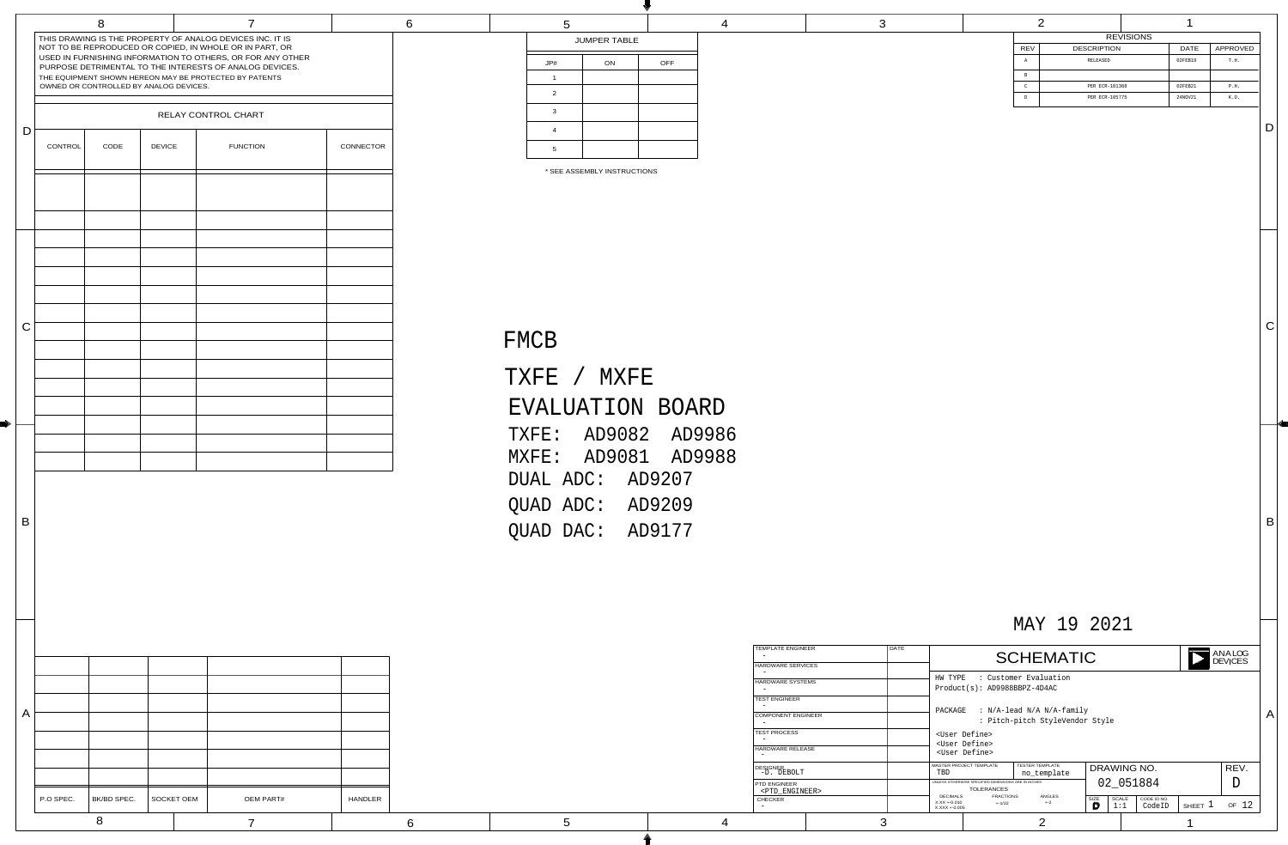|  |  | MAY 19 2021 |  |
|--|--|-------------|--|
|--|--|-------------|--|

# DATE SCHEMATIC RANALO

## FMCB

| TXFE / MXFE         |        |  |
|---------------------|--------|--|
| EVALUATION BOARD    |        |  |
| TXFE: AD9082 AD9986 |        |  |
| MXFE: AD9081 AD9988 |        |  |
| DUAL ADC:           | AD9207 |  |
| OUAD ADC:           | AD9209 |  |
| <b>OUAD DAC:</b>    | AD9177 |  |

HW TYPE : Customer Evaluation Product(s): AD9988BBPZ-4D4AC

<User Define> <User Define> <User Define>

| <b>REVISIONS</b> |                    |  |             |          |
|------------------|--------------------|--|-------------|----------|
| <b>REV</b>       | <b>DESCRIPTION</b> |  | <b>DATE</b> | APPROVED |
| Α                | RELEASED           |  | 02FEB19     | T.H.     |
| B                |                    |  |             |          |
| $\mathcal{C}$    | PER ECR-101368     |  | 02FEB21     | P.H.     |
| D                | PER ECR-105775     |  | 24NOV21     | K.O.     |

PACKAGE : N/A-lead N/A N/A-family

: Pitch-pitch StyleVendor Style

**LOG** ES

 $|B|$ 

 $|C|$ 

 $|D|$ 

| 5              |                     |            | З |
|----------------|---------------------|------------|---|
|                | <b>JUMPER TABLE</b> |            |   |
| $J$ P#         | ON                  | <b>OFF</b> |   |
| 1              |                     |            |   |
| 2              |                     |            |   |
| $\mathbf{3}$   |                     |            |   |
| $\overline{4}$ |                     |            |   |
| $\overline{5}$ |                     |            |   |

| <b>DESIGNER</b><br>-D. DEBOLT                 | MASTER PROJECT TEMPLATE<br>TBD                      | <b>TESTER TEMPLATE</b><br>no_template           |                   | DRAWING NO.                                  |              |                 |
|-----------------------------------------------|-----------------------------------------------------|-------------------------------------------------|-------------------|----------------------------------------------|--------------|-----------------|
| PTD ENGINEER<br><ptd_engineer></ptd_engineer> | UNLESS OTHERWISE SPECIFIED DIMENSIONS ARE IN INCHES | <b>TOLERANCES</b>                               | 02                | 051884                                       |              |                 |
| <b>CHECKER</b><br>$\overline{\phantom{0}}$    | DECIMALS<br>X.XX +-0.010<br>X.XXX +-0.005           | ANGLES<br><b>FRACTIONS</b><br>$+2$<br>$+ -1/32$ | <b>SIZE</b><br>ID | <b>SCALE</b><br>CODE ID NO.<br>CodeID<br>1:1 | <b>SHEET</b> | 12<br><b>OF</b> |
| ບ                                             |                                                     |                                                 |                   |                                              |              |                 |

 $\vert A \vert$ 

| <b>TEMPLATE ENGINEER</b>  | <b>DATE</b> |  |
|---------------------------|-------------|--|
|                           |             |  |
| <b>HARDWARE SERVICES</b>  |             |  |
|                           |             |  |
| <b>HARDWARE SYSTEMS</b>   |             |  |
|                           |             |  |
| <b>TEST ENGINEER</b>      |             |  |
|                           |             |  |
| <b>COMPONENT ENGINEER</b> |             |  |
|                           |             |  |
| <b>TEST PROCESS</b>       |             |  |
|                           |             |  |
| <b>HARDWARE RELEASE</b>   |             |  |
|                           |             |  |
| <b>DESIGNER</b>           |             |  |
| -D. DEBOLT                |             |  |
| <b>PTD ENGINEER</b>       |             |  |
| <ptd engineer=""></ptd>   |             |  |
| <b>CHECKER</b>            |             |  |
|                           |             |  |
|                           |             |  |
|                           |             |  |

|              |           | 8                                      |               | 7                                                                                                                                                                                                                                                                                                       |                  | 6 | 5                              |
|--------------|-----------|----------------------------------------|---------------|---------------------------------------------------------------------------------------------------------------------------------------------------------------------------------------------------------------------------------------------------------------------------------------------------------|------------------|---|--------------------------------|
|              |           | OWNED OR CONTROLLED BY ANALOG DEVICES. |               | THIS DRAWING IS THE PROPERTY OF ANALOG DEVICES INC. IT IS<br>NOT TO BE REPRODUCED OR COPIED, IN WHOLE OR IN PART, OR<br>USED IN FURNISHING INFORMATION TO OTHERS, OR FOR ANY OTHER<br>PURPOSE DETRIMENTAL TO THE INTERESTS OF ANALOG DEVICES.<br>THE EQUIPMENT SHOWN HEREON MAY BE PROTECTED BY PATENTS |                  |   | JP#<br>2                       |
|              |           |                                        |               | RELAY CONTROL CHART                                                                                                                                                                                                                                                                                     |                  |   | $\mathbf{3}$                   |
| D            | CONTROL   | CODE                                   | <b>DEVICE</b> | <b>FUNCTION</b>                                                                                                                                                                                                                                                                                         | <b>CONNECTOR</b> |   | $\mathbf 4$<br>$5\overline{)}$ |
|              |           |                                        |               |                                                                                                                                                                                                                                                                                                         |                  |   | * SEE A                        |
|              |           |                                        |               |                                                                                                                                                                                                                                                                                                         |                  |   |                                |
|              |           |                                        |               |                                                                                                                                                                                                                                                                                                         |                  |   |                                |
|              |           |                                        |               |                                                                                                                                                                                                                                                                                                         |                  |   |                                |
|              |           |                                        |               |                                                                                                                                                                                                                                                                                                         |                  |   |                                |
| $\mathcal C$ |           |                                        |               |                                                                                                                                                                                                                                                                                                         |                  |   | FMCB                           |
|              |           |                                        |               |                                                                                                                                                                                                                                                                                                         |                  |   | <b>TXFE</b>                    |
|              |           |                                        |               |                                                                                                                                                                                                                                                                                                         |                  |   |                                |
|              |           |                                        |               |                                                                                                                                                                                                                                                                                                         |                  |   | <b>EVALU</b>                   |
|              |           |                                        |               |                                                                                                                                                                                                                                                                                                         |                  |   | TXFE:<br>MXFE:                 |
|              |           |                                        |               |                                                                                                                                                                                                                                                                                                         |                  |   | DUAL P                         |
|              |           |                                        |               |                                                                                                                                                                                                                                                                                                         |                  |   |                                |
| B            |           |                                        |               |                                                                                                                                                                                                                                                                                                         |                  |   | QUAD P<br>QUAD D               |
|              |           |                                        |               |                                                                                                                                                                                                                                                                                                         |                  |   |                                |
|              |           |                                        |               |                                                                                                                                                                                                                                                                                                         |                  |   |                                |
|              |           |                                        |               |                                                                                                                                                                                                                                                                                                         |                  |   |                                |
|              |           |                                        |               |                                                                                                                                                                                                                                                                                                         |                  |   |                                |
|              |           |                                        |               |                                                                                                                                                                                                                                                                                                         |                  |   |                                |
| $\mathsf{A}$ |           |                                        |               |                                                                                                                                                                                                                                                                                                         |                  |   |                                |
|              |           |                                        |               |                                                                                                                                                                                                                                                                                                         |                  |   |                                |
|              |           |                                        |               |                                                                                                                                                                                                                                                                                                         |                  |   |                                |
|              | P.O SPEC. | BK/BD SPEC.                            | SOCKET OEM    | <b>OEM PART#</b>                                                                                                                                                                                                                                                                                        | <b>HANDLER</b>   |   |                                |
|              |           | 8                                      |               | $\overline{7}$                                                                                                                                                                                                                                                                                          |                  | 6 | 5                              |

E)

D **ANA** E N

**VC** 

\* SEE ASSEMBLY INSTRUCTIONS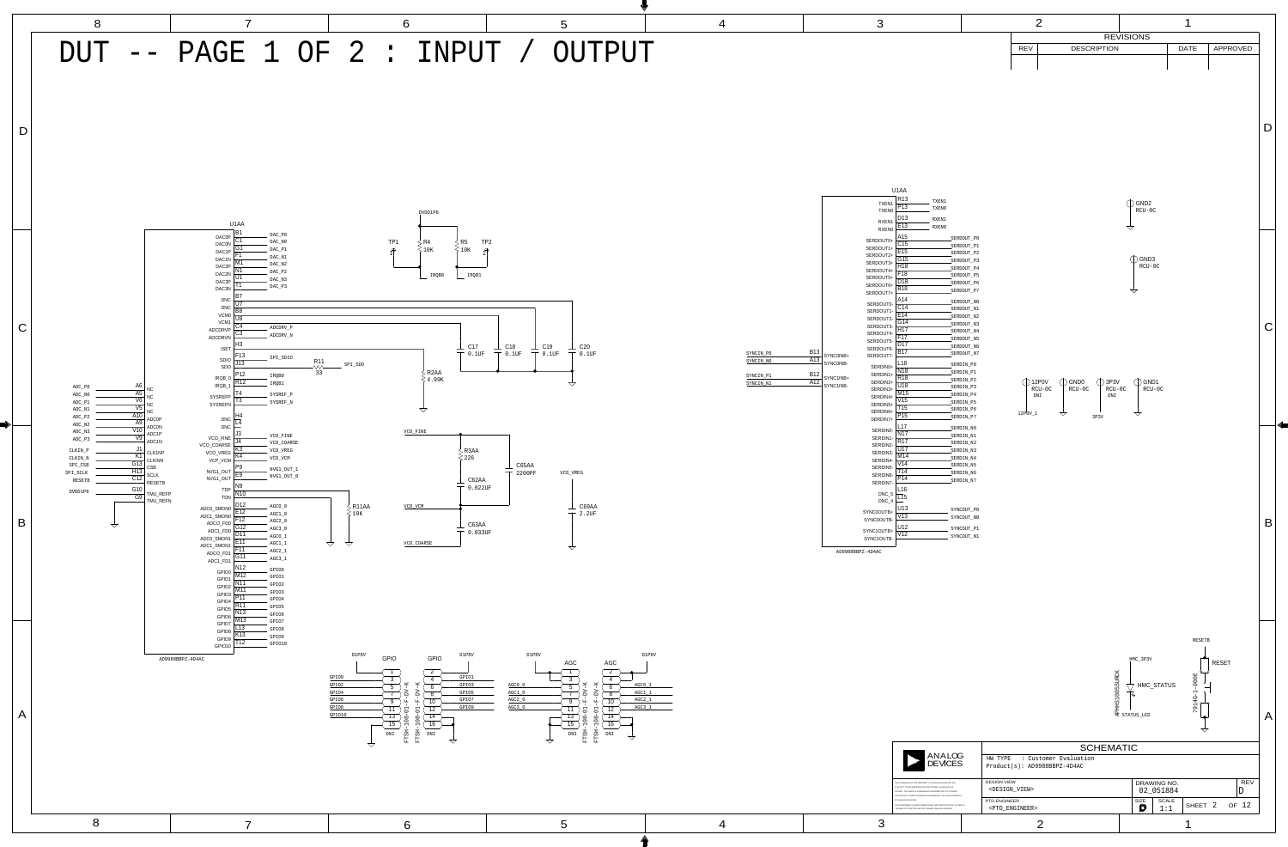|            | R <sub>13</sub>                                                                                                                                                                                                                                                                                                                                                                                                                                              |
|------------|--------------------------------------------------------------------------------------------------------------------------------------------------------------------------------------------------------------------------------------------------------------------------------------------------------------------------------------------------------------------------------------------------------------------------------------------------------------|
|            | P <sub>13</sub>                                                                                                                                                                                                                                                                                                                                                                                                                                              |
|            | D <sub>13</sub>                                                                                                                                                                                                                                                                                                                                                                                                                                              |
|            | E <sub>13</sub>                                                                                                                                                                                                                                                                                                                                                                                                                                              |
|            | A15                                                                                                                                                                                                                                                                                                                                                                                                                                                          |
| SERDOUT0+  | C <sub>15</sub>                                                                                                                                                                                                                                                                                                                                                                                                                                              |
| SERDOUT1+  | E <sub>15</sub>                                                                                                                                                                                                                                                                                                                                                                                                                                              |
|            | G15                                                                                                                                                                                                                                                                                                                                                                                                                                                          |
|            | H <sub>18</sub>                                                                                                                                                                                                                                                                                                                                                                                                                                              |
|            | F <sub>18</sub>                                                                                                                                                                                                                                                                                                                                                                                                                                              |
|            | D <sub>18</sub>                                                                                                                                                                                                                                                                                                                                                                                                                                              |
|            | <b>B18</b>                                                                                                                                                                                                                                                                                                                                                                                                                                                   |
|            | A14                                                                                                                                                                                                                                                                                                                                                                                                                                                          |
|            | C <sub>14</sub>                                                                                                                                                                                                                                                                                                                                                                                                                                              |
|            | E14                                                                                                                                                                                                                                                                                                                                                                                                                                                          |
|            | G14                                                                                                                                                                                                                                                                                                                                                                                                                                                          |
|            | H17                                                                                                                                                                                                                                                                                                                                                                                                                                                          |
|            | F <sub>17</sub>                                                                                                                                                                                                                                                                                                                                                                                                                                              |
|            | D <sub>17</sub>                                                                                                                                                                                                                                                                                                                                                                                                                                              |
|            | <b>B17</b>                                                                                                                                                                                                                                                                                                                                                                                                                                                   |
| SYNCOINB-  | L18                                                                                                                                                                                                                                                                                                                                                                                                                                                          |
|            | N <sub>18</sub>                                                                                                                                                                                                                                                                                                                                                                                                                                              |
| SYNC1INB+  | R <sub>18</sub>                                                                                                                                                                                                                                                                                                                                                                                                                                              |
| SYNC1INB-  | U18                                                                                                                                                                                                                                                                                                                                                                                                                                                          |
|            | M15                                                                                                                                                                                                                                                                                                                                                                                                                                                          |
|            | V <sub>15</sub>                                                                                                                                                                                                                                                                                                                                                                                                                                              |
|            | T <sub>15</sub>                                                                                                                                                                                                                                                                                                                                                                                                                                              |
| SERDIN7+   | P <sub>15</sub>                                                                                                                                                                                                                                                                                                                                                                                                                                              |
|            | L17                                                                                                                                                                                                                                                                                                                                                                                                                                                          |
|            | N <sub>17</sub>                                                                                                                                                                                                                                                                                                                                                                                                                                              |
|            | R <sub>17</sub>                                                                                                                                                                                                                                                                                                                                                                                                                                              |
|            | U17                                                                                                                                                                                                                                                                                                                                                                                                                                                          |
|            | M14                                                                                                                                                                                                                                                                                                                                                                                                                                                          |
|            | V14                                                                                                                                                                                                                                                                                                                                                                                                                                                          |
| SERDIN6-   | T14                                                                                                                                                                                                                                                                                                                                                                                                                                                          |
| SERDIN7-   | P14                                                                                                                                                                                                                                                                                                                                                                                                                                                          |
|            | L16                                                                                                                                                                                                                                                                                                                                                                                                                                                          |
|            | L15                                                                                                                                                                                                                                                                                                                                                                                                                                                          |
|            | U13                                                                                                                                                                                                                                                                                                                                                                                                                                                          |
| SYNC0OUTB+ | V13                                                                                                                                                                                                                                                                                                                                                                                                                                                          |
|            | TXEN <sub>1</sub><br><b>TXEN0</b><br>RXEN1<br>RXEN <sub>0</sub><br>SERDOUT2+<br>SERDOUT3+<br>SERDOUT4+<br>SERDOUT5+<br>SERDOUT6+<br>SERDOUT7+<br>SERDOUT0-<br>SERDOUT1-<br>SERDOUT2-<br>SERDOUT3-<br>SERDOUT4-<br>SERDOUT5-<br>SERDOUT6-<br>SERDOUT7-<br>SYNC0INB+<br>SERDIN0+<br>SERDIN1+<br>SERDIN2+<br>SERDIN <sub>3+</sub><br>SERDIN4+<br>SERDIN5+<br>SERDIN6+<br>SERDINO-<br>SERDIN1-<br>SERDIN2-<br>SERDIN3-<br>SERDIN4-<br>SERDIN5-<br>DNC_5<br>DNC_4 |

 $\overline{V12}$  $|U12|$ 

THIS DRAWING IS THE PROPERTY OF ANALOG DEVICES INC. IN PART, OR USED IN FURNISHING INFORMATION TO OTHERS OR FOR ANY OTHER PURPOSE DETRIMENTAL TO THE INTERESTS THE EQUIPMENT SHOWN HEREON MAY BE PROTECTED BY PATENT IT IS NOT TO BE REPRODUCED OR COPIED, IN WHOLE OR OWNED OR CONTROLLED BY OWNED ANALOG DEVICES. OF ANALOG DEVICES.



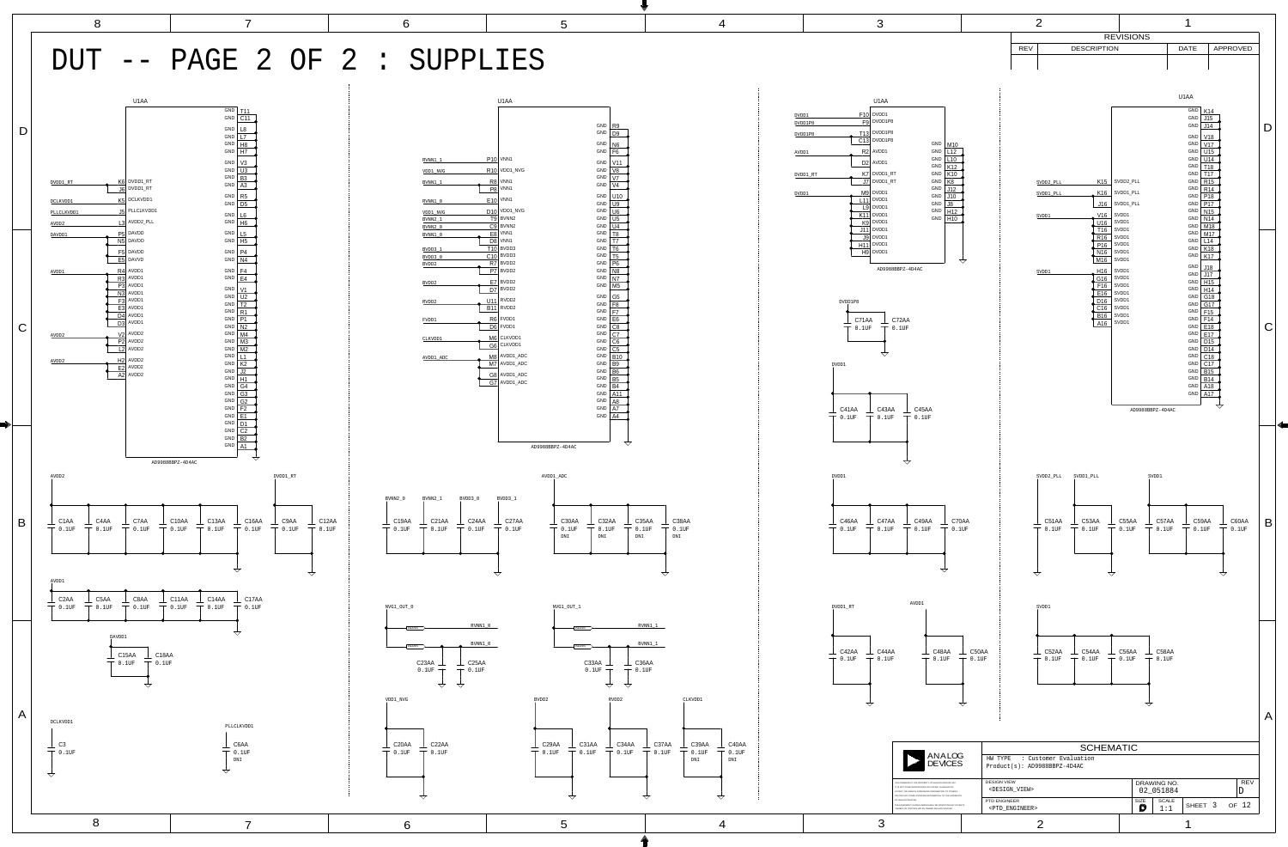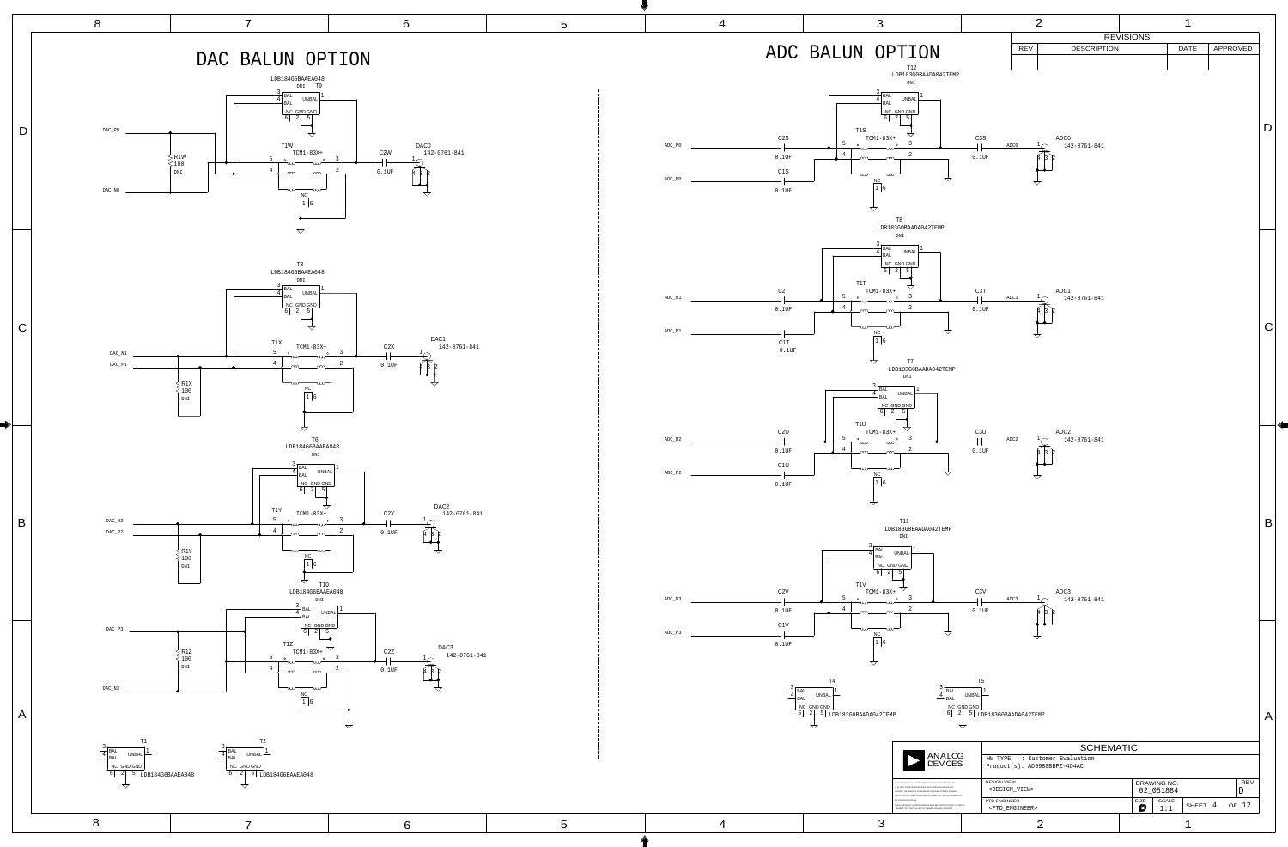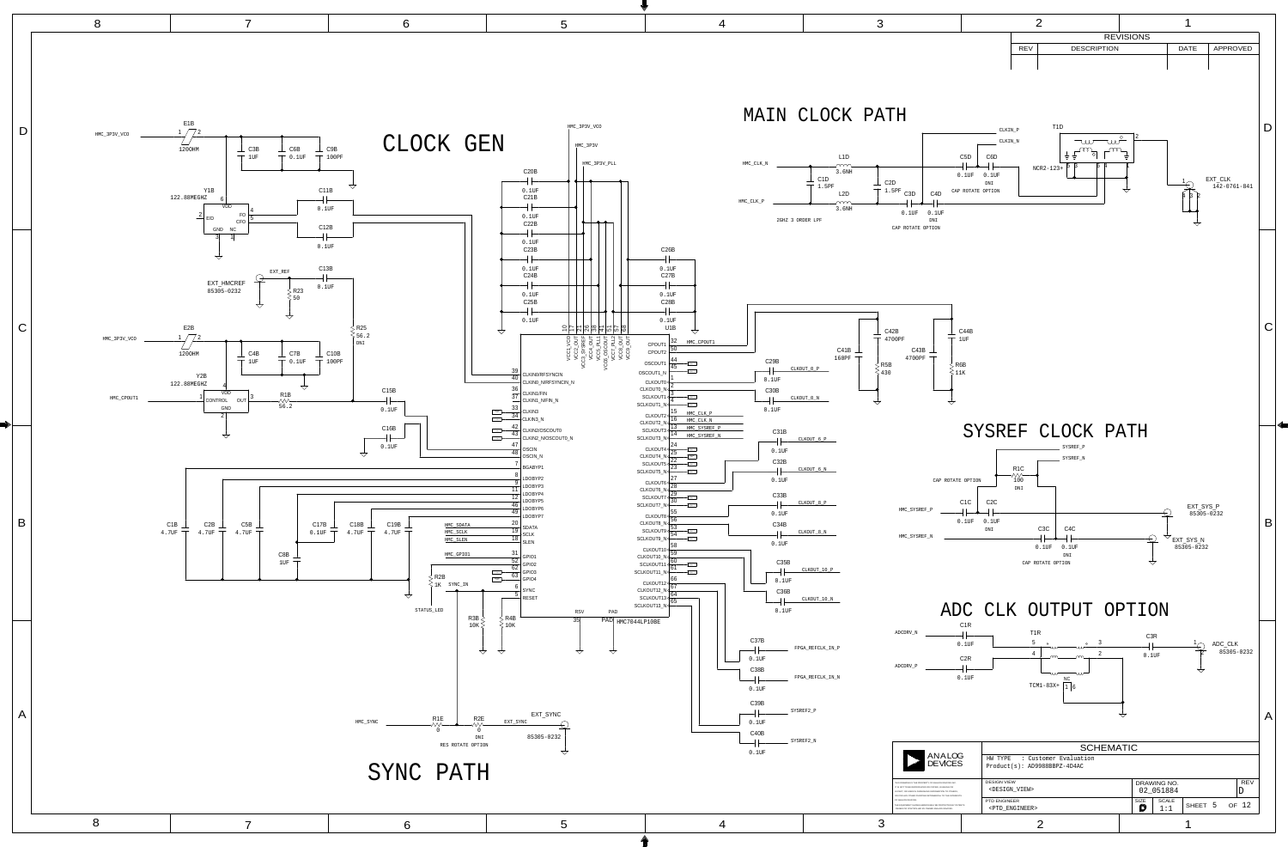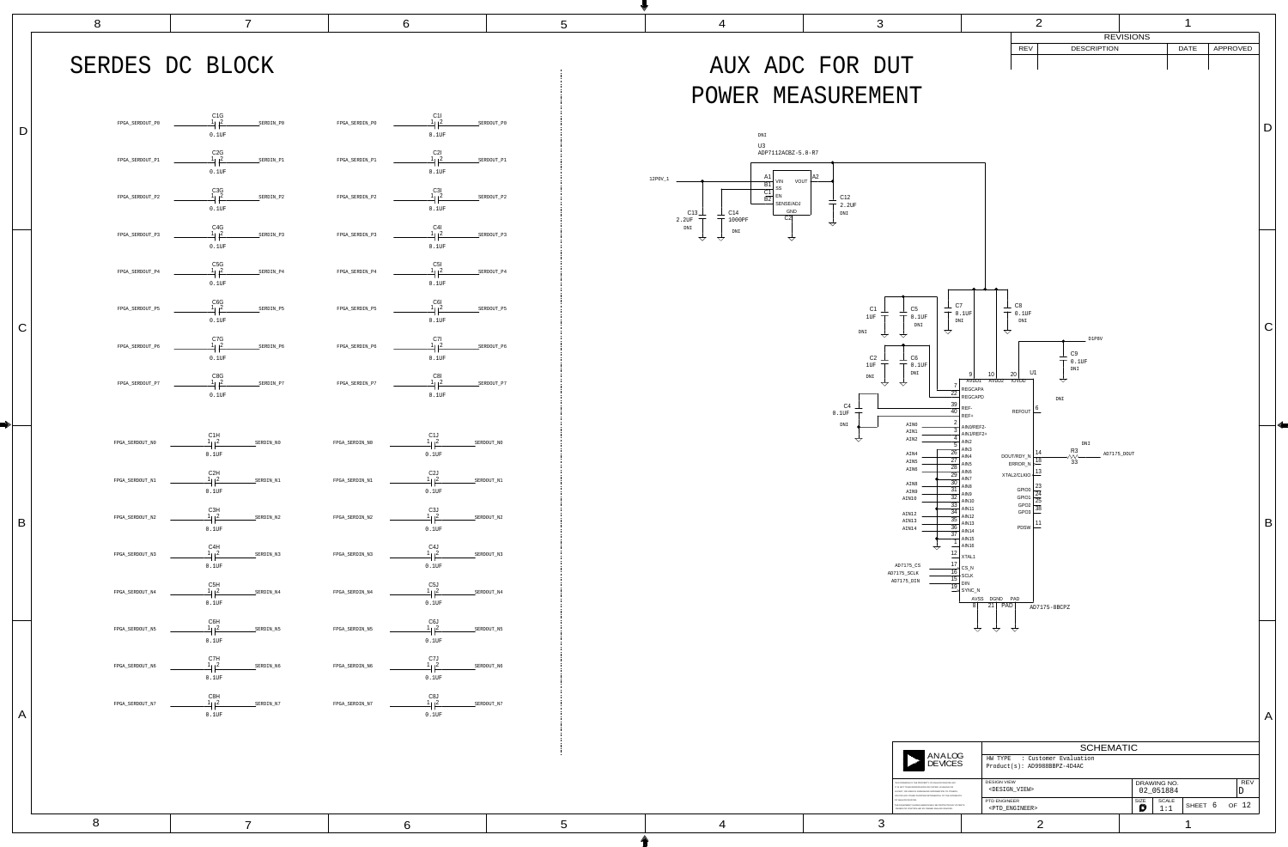| FPGA_SERDOUT_P0 | C1G<br>$1_1 2$<br>0.1UF                        | SERDIN_P0 | FPGA_SERDIN_P0 | C11<br>$\sqrt{2}$<br>1 <sub>1</sub><br>$0.1$ UF                        |
|-----------------|------------------------------------------------|-----------|----------------|------------------------------------------------------------------------|
| FPGA_SERDOUT_P1 | C <sub>2</sub> G<br>1/2<br>0.1UF               | SERDIN_P1 | FPGA_SERDIN_P1 | C2I<br>$\vert$ <sup>2</sup><br>1 <sub>1</sub><br>$0.1$ UF              |
| FPGA_SERDOUT_P2 | C <sub>3</sub> G<br>$1_1$   2<br>0.1UF         | SERDIN_P2 | FPGA_SERDIN_P2 | C3I<br>$\sqrt{2}$<br>1 <sub>1</sub><br>$0.1$ UF                        |
| FPGA_SERDOUT_P3 | C <sub>4</sub> G<br>$1_1$   2<br>0.1UF         | SERDIN_P3 | FPGA_SERDIN_P3 | C4I<br> 2<br>1 <sub>1</sub><br>$0.1$ UF                                |
| FPGA_SERDOUT_P4 | C <sub>5</sub> G<br>$1_1$   2<br>0.1UF         | SERDIN_P4 | FPGA_SERDIN_P4 | C <sub>5</sub> I<br>$\vert$ <sup>2</sup><br>1 <sub>1</sub><br>$0.1$ UF |
| FPGA_SERDOUT_P5 | C6G<br>$1 \,   2$<br>0.1UF                     | SERDIN_P5 | FPGA_SERDIN_P5 | C6I<br> 2<br>1 <sub>1</sub><br>0.1UF                                   |
| FPGA_SERDOUT_P6 | C7G<br>$1 \,   2$<br>$0.1$ UF                  | SERDIN_P6 | FPGA_SERDIN_P6 | C7I<br>1 <sub>1</sub><br>$\vert$ <sup>2</sup><br>0.1UF                 |
| FPGA_SERDOUT_P7 | C8G<br>$1 \,   2$<br>$0.1$ UF                  | SERDIN_P7 | FPGA_SERDIN_P7 | C8I<br>1/2<br>$0.1$ UF                                                 |
| FPGA_SERDOUT_N0 | C1H<br>1/2<br>$0.1$ UF                         | SERDIN_NO | FPGA_SERDIN_N0 | C1J<br>$\sqrt{2}$<br>0.1UF                                             |
| FPGA_SERDOUT_N1 | C <sub>2</sub> H<br>$1\vert 2$<br>$0.1$ UF     | SERDIN_N1 | FPGA_SERDIN_N1 | C <sub>2</sub> J<br>$1_{\vert\;\;\vert}2$<br>0.1UF                     |
| FPGA_SERDOUT_N2 | C3H<br>$1\vert 2$<br>$0.1$ UF                  | SERDIN_N2 | FPGA_SERDIN_N2 | C <sub>3</sub> J<br>$1_{\vert\,\,\vert}2$<br>0.1UF                     |
| FPGA_SERDOUT_N3 | C4H<br>$\sqrt{2}$<br>$0.1$ UF                  | SERDIN_N3 | FPGA_SERDIN_N3 | C <sub>4</sub> J<br>$\sqrt{2}$<br>$0.1$ UF                             |
| FPGA_SERDOUT_N4 | C5H<br>$\frac{1}{2}$ $\frac{2}{2}$<br>$0.1$ UF | SERDIN_N4 | FPGA_SERDIN_N4 | C <sub>5</sub> J<br>$1_{1}$   2<br>0.1UF                               |
| FPGA_SERDOUT_N5 | C6H<br>$\frac{1}{2}$ $\frac{2}{2}$<br>$0.1$ UF | SERDIN_N5 | FPGA_SERDIN_N5 | C6J<br>$1_{1}$   2<br>$0.1$ UF                                         |
| FPGA_SERDOUT_N6 | $C7H$<br>$\frac{1}{2}$<br>0.1UF                | SERDIN_N6 | FPGA_SERDIN_N6 | $C7J$<br>$1/2$<br>$0.1$ UF                                             |
| FPGA_SERDOUT_N7 | C8H                                            |           |                | C8J                                                                    |

D



8 7 6

A

B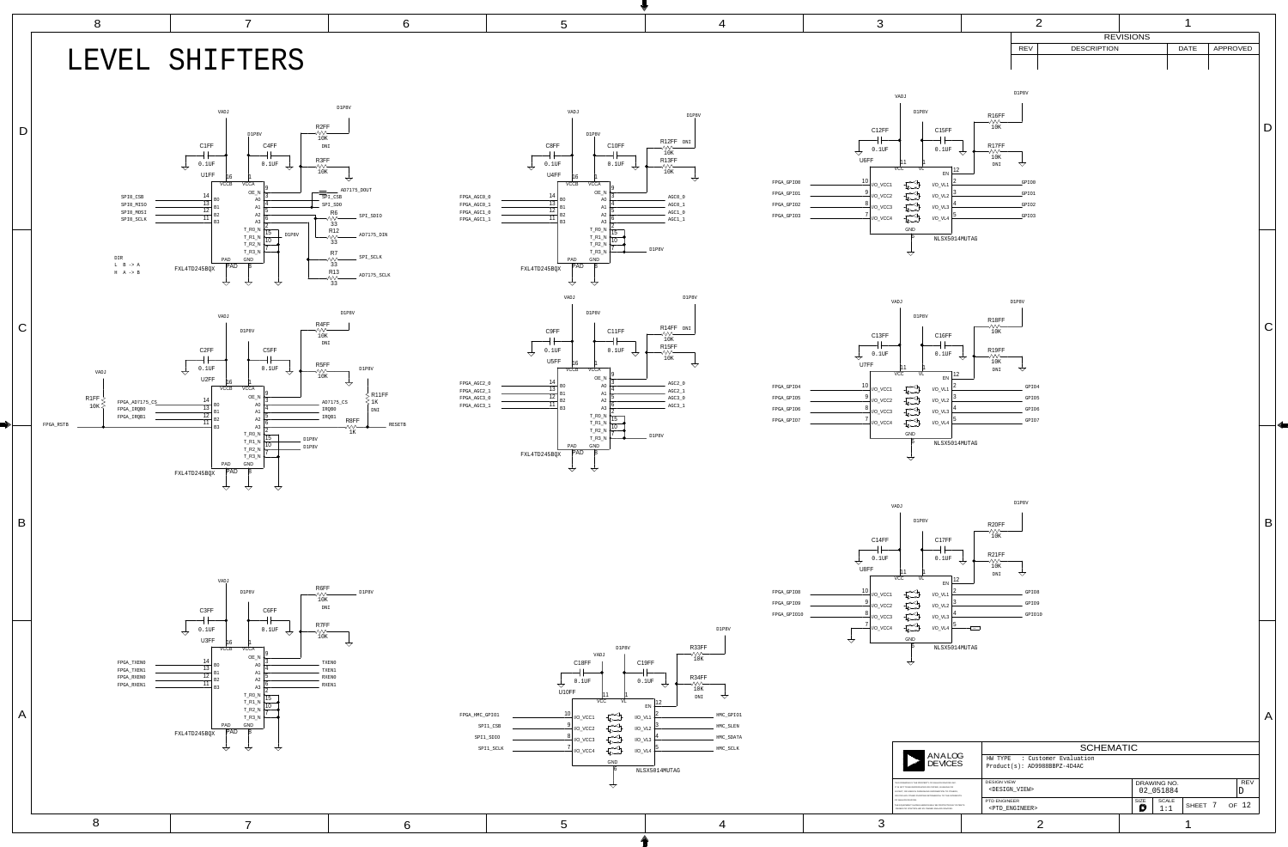





THIS DRAWING IS THE PROPERTY IN PART, OR USED IN FURNISHING OR FOR ANY OTHER PURPOSE DE THE EQUIPMENT SHOWN HEREO IT IS NOT TO BE REPRODUCED OR OWNED OR CONTROLLED BY OW OF ANALOG DEVICES.

|                                                                                                                         |                                                   | <b>SCHEMATIC</b>                                                   |                          |                  |                     |            |       |
|-------------------------------------------------------------------------------------------------------------------------|---------------------------------------------------|--------------------------------------------------------------------|--------------------------|------------------|---------------------|------------|-------|
| <b>ANALOG</b><br><b>DEVICES</b>                                                                                         |                                                   | : Customer Evaluation<br>HW TYPE<br>$Product(s): AD9988BBPZ-4D4AC$ |                          |                  |                     |            |       |
| IY OF ANALOG DEVICES INC.<br>OR COPIED, IN WHOLE OR<br><b>NG INFORMATION TO OTHERS.</b><br>DETRIMENTAL TO THE INTERESTS | <b>DESIGN VIEW</b><br><design_view></design_view> |                                                                    | DRAWING NO.<br>02 051884 |                  |                     | <b>REV</b> |       |
| IN MAY BE PROTECTED BY PATENTS<br>WNED ANALOG DEVICES.                                                                  |                                                   | <b>PTD ENGINEER</b><br><ptd engineer=""></ptd>                     |                          | <b>SIZE</b><br>D | <b>SCALE</b><br>1:1 | SHEET 7    | OF 12 |
|                                                                                                                         |                                                   |                                                                    |                          |                  |                     |            |       |

![](_page_6_Figure_2.jpeg)

A

 $\vert$  B

![](_page_6_Figure_0.jpeg)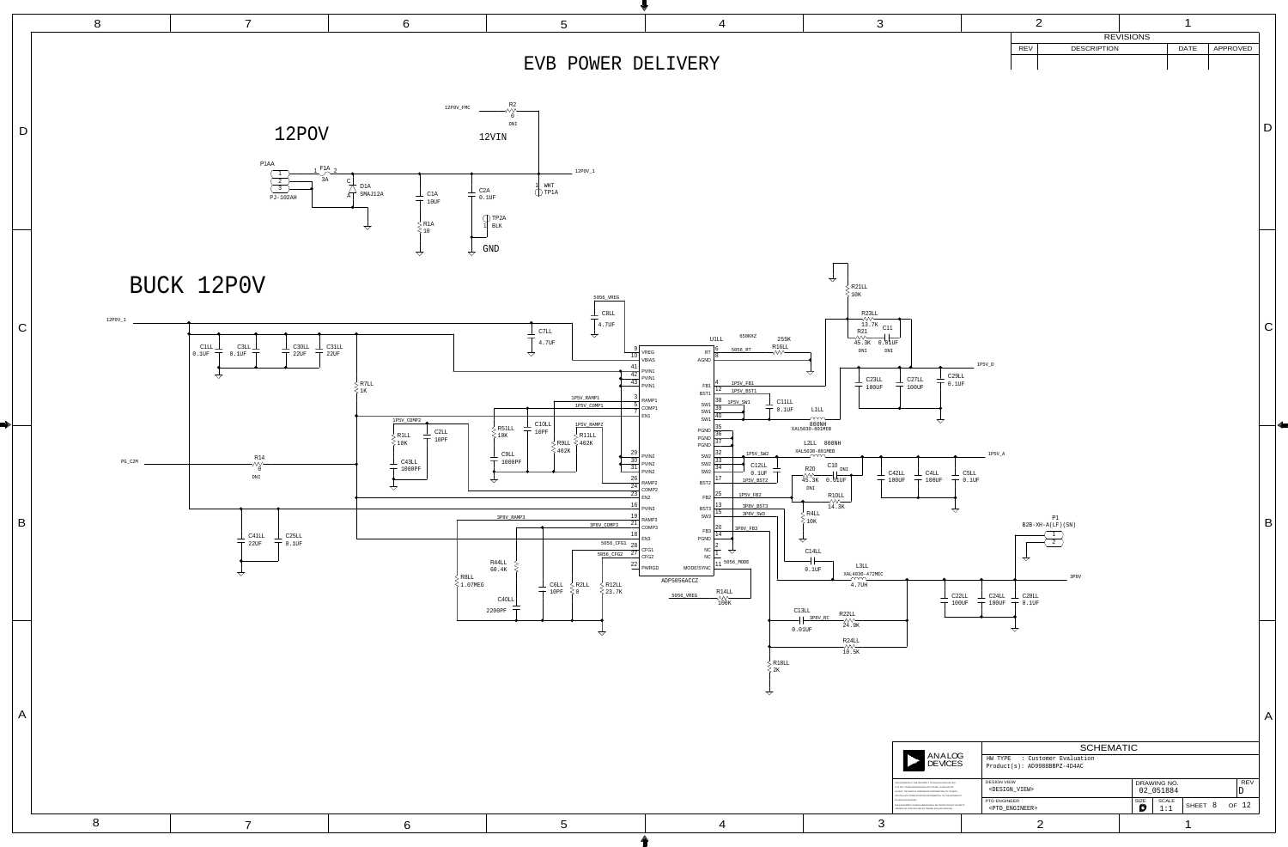![](_page_7_Figure_0.jpeg)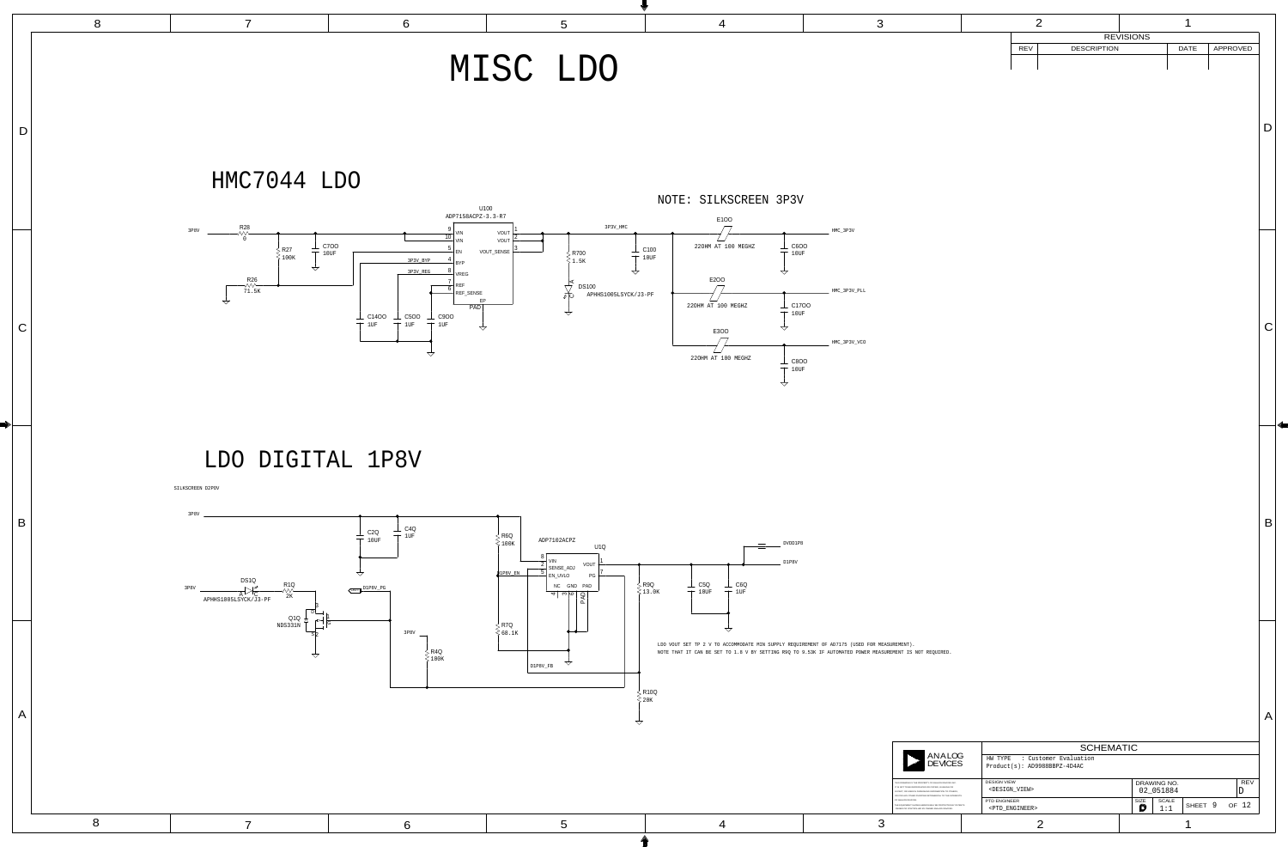![](_page_8_Figure_3.jpeg)

4

|                      | 8 |                                                                                                                                                          | 6                                                                                                                                                                                                                                                                                        | $\mathbf{C}$                                                                                                                                                                                                                                                                                                                                                                                            |                                                                                                                                                                                                        | 3                                                                                                                                                                                                                                                                                                                                                                                                                                                                                           |                                                                                                                                                                       |                                                                            |                         |
|----------------------|---|----------------------------------------------------------------------------------------------------------------------------------------------------------|------------------------------------------------------------------------------------------------------------------------------------------------------------------------------------------------------------------------------------------------------------------------------------------|---------------------------------------------------------------------------------------------------------------------------------------------------------------------------------------------------------------------------------------------------------------------------------------------------------------------------------------------------------------------------------------------------------|--------------------------------------------------------------------------------------------------------------------------------------------------------------------------------------------------------|---------------------------------------------------------------------------------------------------------------------------------------------------------------------------------------------------------------------------------------------------------------------------------------------------------------------------------------------------------------------------------------------------------------------------------------------------------------------------------------------|-----------------------------------------------------------------------------------------------------------------------------------------------------------------------|----------------------------------------------------------------------------|-------------------------|
|                      |   |                                                                                                                                                          |                                                                                                                                                                                                                                                                                          | MISC LDO                                                                                                                                                                                                                                                                                                                                                                                                |                                                                                                                                                                                                        |                                                                                                                                                                                                                                                                                                                                                                                                                                                                                             | REV<br><b>DESCRIPTION</b>                                                                                                                                             | REVISIONS<br>APPROVED<br><b>DATE</b>                                       |                         |
| D                    |   | HMC7044 LDO                                                                                                                                              |                                                                                                                                                                                                                                                                                          |                                                                                                                                                                                                                                                                                                                                                                                                         | NOTE: SILKSCREEN 3P3V                                                                                                                                                                                  |                                                                                                                                                                                                                                                                                                                                                                                                                                                                                             |                                                                                                                                                                       |                                                                            |                         |
| $\mathsf{C}$         |   | $3P8V$ R28<br>$\perp$ C700<br>R27<br>$\top$ 10UF<br>$\geqslant$ 100K<br>$\overrightarrow{a}$<br>$R26$<br>$\overline{71.5}$ K<br>$\overline{\phantom{m}}$ | U100<br>ADP7158ACPZ-3.3-R7<br>$\frac{1}{40}$ VIN<br>VIN<br>$\parallel$ EN<br>3P3V_BYP<br>3P3V_REG<br>VREG<br>REF<br>$\overline{\phantom{a}}$ REF_SENSE<br>PAD<br>$\perp$ C900<br>$\perp$ C14OO<br>$\perp$ C5OO<br>$\overline{\phantom{0}}$<br>10F<br>1UF<br>$1$ UF<br>$\bigtriangledown$ | 3P3V_HMC<br>VOUT<br>VOUT<br>VOUT_SENSE<br>R700<br>$\frac{2}{2}$ 1.5K<br>$\overline{\phantom{0}}$<br><b>DS100</b><br>APHHS1005LSYCK/J3-PF<br>∕ ⊘<br>ED<br>$\overline{\phantom{a}}$<br>$\overline{\phantom{m}}$                                                                                                                                                                                           | E100<br>$\Box$<br>220HM AT 100 MEGHZ<br>$\perp$ C100<br>$\top$ 10UF<br>$\top$ 10UF<br>E2OO<br>220HM AT 100 MEGHZ<br>$\top$ 10UF<br>E3OO<br>220HM AT 100 MEGHZ<br>$\top$ 10UF<br>$\overline{\diagdown}$ | $HMC_3P3V$<br>$\perp$ C6OO<br>_ HMC_3P3V_PLL<br>$\perp$ C17OO<br>_ HMC_3P3V_VCO<br>$\perp$ C8OO                                                                                                                                                                                                                                                                                                                                                                                             |                                                                                                                                                                       |                                                                            | $\overline{\mathbf{C}}$ |
| $\mathsf B$          |   | LDO DIGITAL 1P8V<br>SILKSCREEN D2POV<br>3P8V<br>DS1Q<br>$R1Q\n\sim\n\sim\n\sim\n2K$<br>3P8V<br>$\overline{\phantom{a}}$<br>APHHS1005LSYCK/J3-PF<br>Q1Q   | $\perp$ C4Q<br>$\perp$ C <sub>2</sub> Q<br>$T$ 1UF<br>$\top$ 10UF<br>OUT D1P8V PG                                                                                                                                                                                                        | $\begin{array}{c}\n\searrow$ R6Q<br>$\leq 100K\n\end{array}$<br>ADP7102ACPZ<br>  VIN<br>VOUT<br>$\frac{1}{2}$ SENSE_ADJ<br>D1P8V_EN<br>$\overline{\phantom{a}}$ EN_UVLO<br>P <sub>G</sub><br>$\begin{array}{ c c c c c }\n\hline\n\text{NC} & \text{GND} & \text{PAD} \\ \hline\n\text{L} & \text{R} & \text{R} & \text{R} \\ \hline\n\text{L} & \text{R} & \text{R} & \text{R} \\ \hline\n\end{array}$ | $\begin{tabular}{c} \quad \quad \textbf{ovDD1P8} \\ \hline \end{tabular}$<br>D1P8V<br>$\perp$ C6Q<br>$\perp$ C5Q<br>$\, \rule{0.1cm}{0.1cm}\,$ R9Q<br>$\top$ 10UF<br>$\top$ 1UF<br>$\leq 13.0K$        |                                                                                                                                                                                                                                                                                                                                                                                                                                                                                             |                                                                                                                                                                       |                                                                            |                         |
| ———<br>$\mid A \mid$ |   | NDS331N<br>$\overline{\phantom{a}}$                                                                                                                      | 3P8V<br>$>$ R4Q<br>$\gtrless$ 100K                                                                                                                                                                                                                                                       | $>$ R7Q<br>$\bullet\bullet-$<br>$\leqslant$ 68.1K<br>$D1P8V_FB$                                                                                                                                                                                                                                                                                                                                         | $\overline{\phantom{m}}$<br>LDO VOUT SET TP 2 V TO ACCOMMODATE MIN SUPPLY REQUIREMENT OF AD7175 (USED FOR MEASUREMENT).<br>$\frac{1}{2}$ R10Q<br>$\gt$ 20K                                             | NOTE THAT IT CAN BE SET TO 1.8 V BY SETTING R9Q TO 9.53K IF AUTOMATED POWER MEASUREMENT IS NOT REQUIRED.<br>ANALOG<br>DEVICES<br>THIS DRAWING IS THE PROPERTY OF ANALOG DEVICES INC.<br>IT IS NOT TO BE REPRODUCED OR COPIED, IN WHOLE OR<br>IN PART, OR USED IN FURNISHING INFORMATION TO OTHERS,<br>OR FOR ANY OTHER PURPOSE DETRIMENTAL TO THE INTERESTS<br>OF ANALOG DEVICES.<br>THE EQUIPMENT SHOWN HEREON MAY BE PROTECTED BY PATENTS<br>OWNED OR CONTROLLED BY OWNED ANALOG DEVICES. | HW TYPE : Customer Evaluation<br>Product(s): AD9988BBPZ-4D4AC<br><b>DESIGN VIEW</b><br><design_view><br/>PTD ENGINEER<br/><ptd_engineer></ptd_engineer></design_view> | <b>SCHEMATIC</b><br>DRAWING NO.<br>02_051884<br>$SIZE$ SCALE SHEET 9 OF 12 | REV                     |
|                      |   |                                                                                                                                                          | 6                                                                                                                                                                                                                                                                                        | $\mathbf C$                                                                                                                                                                                                                                                                                                                                                                                             |                                                                                                                                                                                                        |                                                                                                                                                                                                                                                                                                                                                                                                                                                                                             |                                                                                                                                                                       |                                                                            |                         |

![](_page_8_Figure_2.jpeg)

|                                                                                                                                                                                                                            | <b>SCHEMATIC</b>                                                   |                  |                          |                    |            |
|----------------------------------------------------------------------------------------------------------------------------------------------------------------------------------------------------------------------------|--------------------------------------------------------------------|------------------|--------------------------|--------------------|------------|
| <b>ANALOG</b><br><b>DEVICES</b>                                                                                                                                                                                            | : Customer Evaluation<br>HW TYPE<br>$Product(s): AD9988BBPZ-4D4AC$ |                  |                          |                    |            |
| THIS DRAWING IS THE PROPERTY OF ANALOG DEVICES INC.<br>IT IS NOT TO BE REPRODUCED OR COPIED. IN WHOLE OR<br>IN PART, OR USED IN FURNISHING INFORMATION TO OTHERS.<br>OR FOR ANY OTHER PURPOSE DETRIMENTAL TO THE INTERESTS | <b>DESIGN VIEW</b><br><design_view></design_view>                  |                  | DRAWING NO.<br>02 051884 |                    | <b>REV</b> |
| OF ANALOG DEVICES.<br>THE EQUIPMENT SHOWN HEREON MAY BE PROTECTED BY PATENTS<br>OWNED OR CONTROLLED BY OWNED ANALOG DEVICES.                                                                                               | <b>PTD ENGINEER</b><br><ptd_engineer></ptd_engineer>               | <b>SIZE</b><br>D | <b>SCALE</b><br>1:1      | SHEET <sub>9</sub> | OF 12      |
|                                                                                                                                                                                                                            |                                                                    |                  |                          |                    |            |

 $\vert A \vert$ 

 $\vert$ 

 $D<sub>1</sub>$ 

|            |                    | <b>REVISIONS</b> |             |          |
|------------|--------------------|------------------|-------------|----------|
| <b>REV</b> | <b>DESCRIPTION</b> |                  | <b>DATE</b> | APPROVED |
|            |                    |                  |             |          |
|            |                    |                  |             |          |
|            |                    |                  |             |          |
|            |                    |                  |             |          |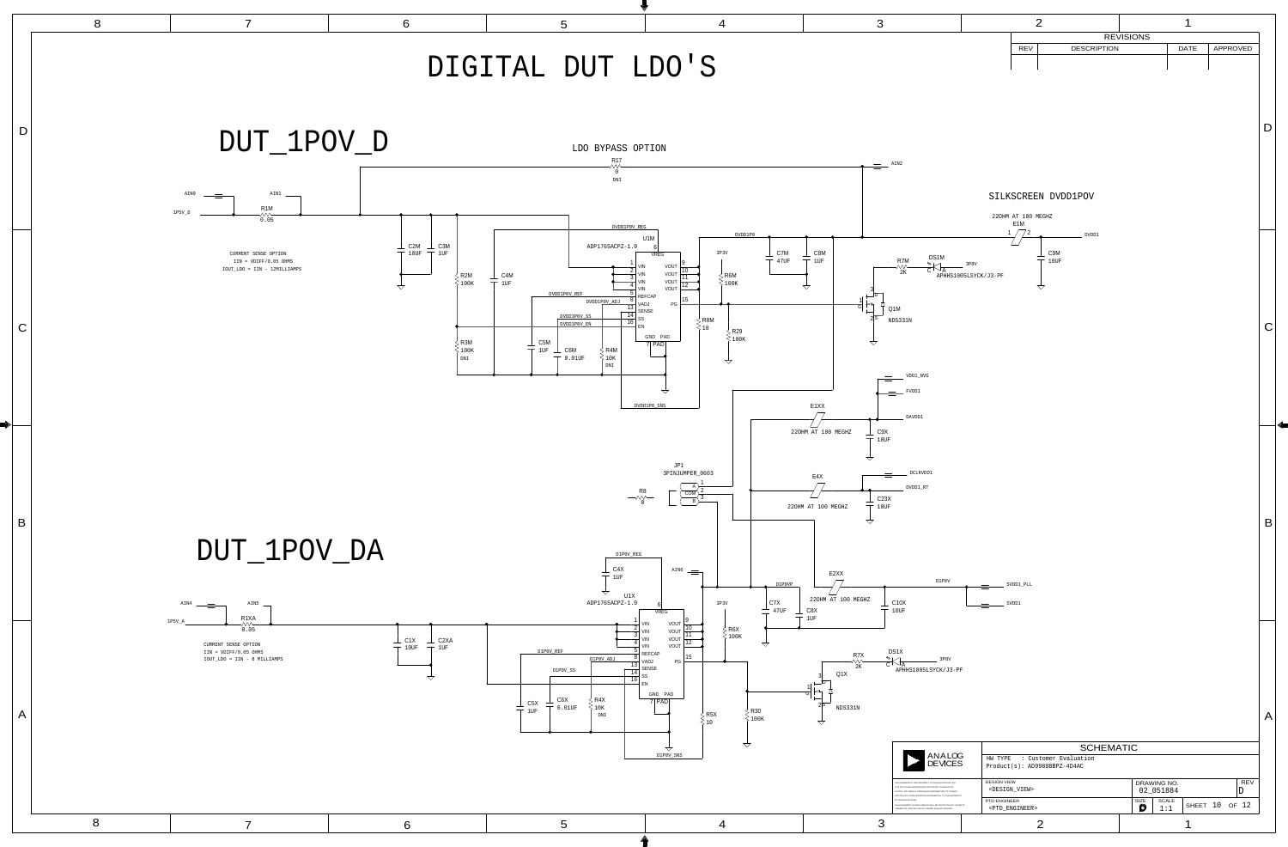| 3                                                                                                                                                                                                                                                                                                                                                                                                                                                                                        |                                              | 2                             |                   | 1           |                               |             |
|------------------------------------------------------------------------------------------------------------------------------------------------------------------------------------------------------------------------------------------------------------------------------------------------------------------------------------------------------------------------------------------------------------------------------------------------------------------------------------------|----------------------------------------------|-------------------------------|-------------------|-------------|-------------------------------|-------------|
|                                                                                                                                                                                                                                                                                                                                                                                                                                                                                          | <b>REV</b>                                   | <b>DESCRIPTION</b>            | <b>REVISIONS</b>  | <b>DATE</b> | APPROVED                      |             |
|                                                                                                                                                                                                                                                                                                                                                                                                                                                                                          |                                              |                               |                   |             |                               |             |
|                                                                                                                                                                                                                                                                                                                                                                                                                                                                                          |                                              |                               |                   |             |                               |             |
|                                                                                                                                                                                                                                                                                                                                                                                                                                                                                          |                                              |                               |                   |             |                               |             |
|                                                                                                                                                                                                                                                                                                                                                                                                                                                                                          |                                              |                               |                   |             |                               |             |
|                                                                                                                                                                                                                                                                                                                                                                                                                                                                                          |                                              |                               |                   |             |                               | D           |
|                                                                                                                                                                                                                                                                                                                                                                                                                                                                                          |                                              |                               |                   |             |                               |             |
| AIN2                                                                                                                                                                                                                                                                                                                                                                                                                                                                                     |                                              |                               |                   |             |                               |             |
|                                                                                                                                                                                                                                                                                                                                                                                                                                                                                          |                                              |                               |                   |             |                               |             |
|                                                                                                                                                                                                                                                                                                                                                                                                                                                                                          |                                              | SILKSCREEN DVDD1POV           |                   |             |                               |             |
|                                                                                                                                                                                                                                                                                                                                                                                                                                                                                          | 220HM AT 100 MEGHZ                           |                               |                   |             |                               |             |
|                                                                                                                                                                                                                                                                                                                                                                                                                                                                                          | E <sub>1</sub> M                             | DVDD1                         |                   |             |                               |             |
| C8M                                                                                                                                                                                                                                                                                                                                                                                                                                                                                      |                                              | C9M                           |                   |             |                               |             |
| DS1M<br>R7M<br>1UF<br>$\mathbb{Z}$<br>$\begin{matrix} 1 & \sqrt{11} \\ \sqrt{11} & \sqrt{11} \\ \sqrt{11} & \sqrt{11} \\ \sqrt{11} & \sqrt{11} \\ \sqrt{11} & \sqrt{11} \\ \sqrt{11} & \sqrt{11} \\ \sqrt{11} & \sqrt{11} \\ \sqrt{11} & \sqrt{11} \\ \sqrt{11} & \sqrt{11} \\ \sqrt{11} & \sqrt{11} \\ \sqrt{11} & \sqrt{11} \\ \sqrt{11} & \sqrt{11} \\ \sqrt{11} & \sqrt{11} \\ \sqrt{11} & \sqrt{11} \\ \sqrt{11} & \sqrt{11} \\ \sqrt{11} & \sqrt$<br>$\overline{C}$ $\overline{A}$ | 3P8V                                         | $10$ UF                       |                   |             |                               |             |
| 3                                                                                                                                                                                                                                                                                                                                                                                                                                                                                        | APHHS1005LSYCK/J3-PF                         | $\overline{\bigtriangledown}$ |                   |             |                               |             |
| D<br>$\frac{1}{G}$<br>↤                                                                                                                                                                                                                                                                                                                                                                                                                                                                  |                                              |                               |                   |             |                               |             |
| Q1M<br>$2\overline{s}$<br>NDS331N                                                                                                                                                                                                                                                                                                                                                                                                                                                        |                                              |                               |                   |             |                               |             |
|                                                                                                                                                                                                                                                                                                                                                                                                                                                                                          |                                              |                               |                   |             |                               | C           |
| $\triangle$                                                                                                                                                                                                                                                                                                                                                                                                                                                                              |                                              |                               |                   |             |                               |             |
| $\texttt{VDD1\_NVG}$                                                                                                                                                                                                                                                                                                                                                                                                                                                                     |                                              |                               |                   |             |                               |             |
| ${\tt FVDD1}$                                                                                                                                                                                                                                                                                                                                                                                                                                                                            |                                              |                               |                   |             |                               |             |
| 1XX                                                                                                                                                                                                                                                                                                                                                                                                                                                                                      |                                              |                               |                   |             |                               |             |
| $\mathtt{DAVDD1}$                                                                                                                                                                                                                                                                                                                                                                                                                                                                        |                                              |                               |                   |             |                               |             |
| $\_$ C9X<br>T 100 MEGHZ<br>$10$ UF                                                                                                                                                                                                                                                                                                                                                                                                                                                       |                                              |                               |                   |             |                               |             |
| $\overline{\mathcal{A}}$                                                                                                                                                                                                                                                                                                                                                                                                                                                                 |                                              |                               |                   |             |                               |             |
| $DCLKVDD1$<br>E4X                                                                                                                                                                                                                                                                                                                                                                                                                                                                        |                                              |                               |                   |             |                               |             |
| $\texttt{DVDD1}\_\texttt{RT}$<br>C23X                                                                                                                                                                                                                                                                                                                                                                                                                                                    |                                              |                               |                   |             |                               |             |
| 100 MEGHZ<br>$10$ UF<br>$\overline{\mathcal{L}}$                                                                                                                                                                                                                                                                                                                                                                                                                                         |                                              |                               |                   |             |                               |             |
|                                                                                                                                                                                                                                                                                                                                                                                                                                                                                          |                                              |                               |                   |             |                               | $\mathsf B$ |
|                                                                                                                                                                                                                                                                                                                                                                                                                                                                                          |                                              |                               |                   |             |                               |             |
| E2XX                                                                                                                                                                                                                                                                                                                                                                                                                                                                                     |                                              |                               |                   |             |                               |             |
| $\texttt{D1POV}$                                                                                                                                                                                                                                                                                                                                                                                                                                                                         | $\texttt{SVDD1\_PLL}$                        |                               |                   |             |                               |             |
| 20HM AT 100 MEGHZ<br>C10X<br>Χ<br>$10$ UF                                                                                                                                                                                                                                                                                                                                                                                                                                                | SVDD1                                        |                               |                   |             |                               |             |
|                                                                                                                                                                                                                                                                                                                                                                                                                                                                                          |                                              |                               |                   |             |                               |             |
|                                                                                                                                                                                                                                                                                                                                                                                                                                                                                          |                                              |                               |                   |             |                               |             |
| DS1X<br>$\begin{array}{c}\n\mathsf{R} \mathsf{Z} \mathsf{X} \\ \mathsf{\sim} \mathsf{\sim} \mathsf{\sim} \\ 2 \mathsf{K}\n\end{array}$<br>$\mathbb{Z}^+$<br>$3P8V$<br>$\overline{C}$ $\overline{A}$                                                                                                                                                                                                                                                                                      |                                              |                               |                   |             |                               |             |
| APHHS1005LSYCK/J3-PF<br>Q1X<br>$\frac{3}{D}$                                                                                                                                                                                                                                                                                                                                                                                                                                             |                                              |                               |                   |             |                               |             |
| ≺切                                                                                                                                                                                                                                                                                                                                                                                                                                                                                       |                                              |                               |                   |             |                               |             |
| $2\overline{S}$<br>NDS331N                                                                                                                                                                                                                                                                                                                                                                                                                                                               |                                              |                               |                   |             |                               | A           |
| $\overrightarrow{a}$                                                                                                                                                                                                                                                                                                                                                                                                                                                                     |                                              |                               |                   |             |                               |             |
|                                                                                                                                                                                                                                                                                                                                                                                                                                                                                          |                                              | <b>SCHEMATIC</b>              |                   |             |                               |             |
| ANALOG<br>DEVICES                                                                                                                                                                                                                                                                                                                                                                                                                                                                        | HW TYPE<br>Product(s): AD9988BBPZ-4D4AC      | : Customer Evaluation         |                   |             |                               |             |
| THIS DRAWING IS THE PROPERTY OF ANALOG DEVICES INC.<br>IT IS NOT TO BE REPRODUCED OR COPIED, IN WHOLE OR                                                                                                                                                                                                                                                                                                                                                                                 | <b>DESIGN VIEW</b>                           |                               | DRAWING NO.       |             | REV                           |             |
| IN PART, OR USED IN FURNISHING INFORMATION TO OTHERS,<br>OR FOR ANY OTHER PURPOSE DETRIMENTAL TO THE INTERESTS<br>OF ANALOG DEVICES.<br>THE EQUIPMENT SHOWN HEREON MAY BE PROTECTED BY PATENTS                                                                                                                                                                                                                                                                                           | <design_view><br/>PTD ENGINEER</design_view> |                               | 02_051884<br>SIZE | SCALE       | $\mathbf D$<br>SHEET 10 OF 12 |             |
| OWNED OR CONTROLLED BY OWNED ANALOG DEVICES.<br>3                                                                                                                                                                                                                                                                                                                                                                                                                                        | <ptd_engineer></ptd_engineer>                | $\overline{2}$                | D                 | 1:1<br>◢    |                               |             |
|                                                                                                                                                                                                                                                                                                                                                                                                                                                                                          |                                              |                               |                   |             |                               |             |

![](_page_9_Figure_0.jpeg)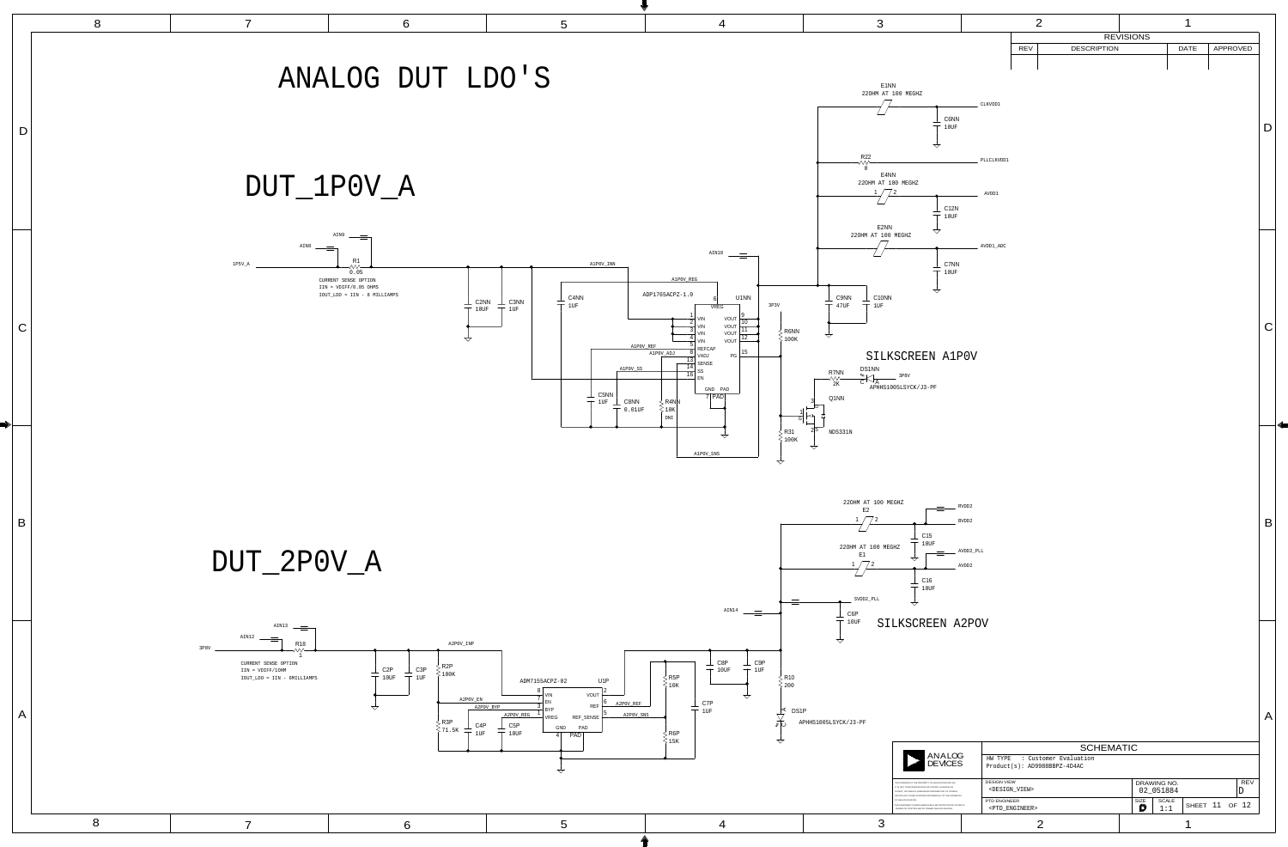![](_page_10_Picture_0.jpeg)